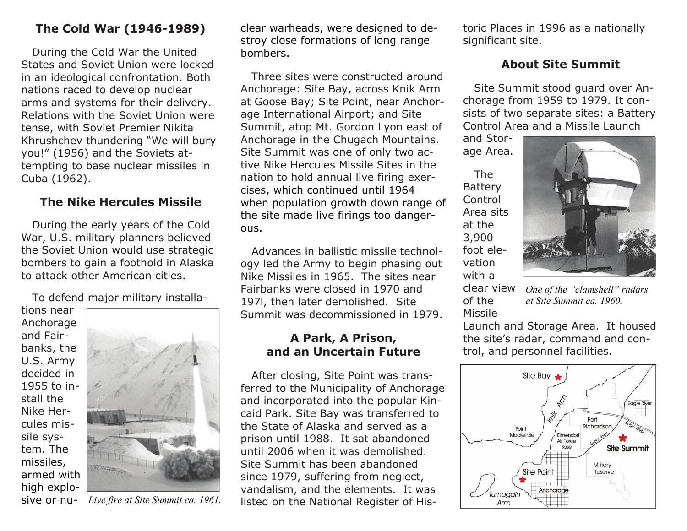### **The Cold War (1946-1989)**

 During the Cold War the United States and Soviet Union were locked in an ideological confrontation. Both nations raced to develop nuclear arms and systems for their delivery. Relations with the Soviet Union were tense, with Soviet Premier Nikita Khrushchev thundering "We will bury you!" (1956) and the Soviets attempting to base nuclear missiles in Cuba (1962).

#### **The Nike Hercules Missile**

 During the early years of the Cold War, U.S. military planners believed the Soviet Union would use strategic bombers to gain a foothold in Alaska to attack other American cities.

To defend major military installa-

tions near Anchorage and Fairbanks, the U.S. Army decided in 1955 to install the Nike Hercules missile system. The missiles, armed with high explosive or nu-



clear warheads, were designed to de-

stroy close formations of long range bombers. Three sites were constructed around Anchorage: Site Bay, across Knik Arm at Goose Bay; Site Point, near Anchor age International Airport; and Site Summit, atop Mt. Gordon Lyon east of Anchorage in the Chugach Mountains. Site Summit was one of only two ac tive Nike Hercules Missile Sites in the nation to hold annual live firing exer cises, which continued until 1964 when population growth down range of the site made live firings too danger ous. Advances in ballistic missile technol-**War (1996-1998)** clear winedals, were designed to determine the sixter designed to the Places in 1996 as a nationally<br>cold War the United Street constructed around the state were constructed around the cold unit were lea

ogy led the Army to begin phasing out Nike Missiles in 1965. The sites near Fairbanks were closed in 1970 and 197l, then later demolished. Site Summit was decommissioned in 1979.

## **A Park, A Prison, and an Uncertain Future**

 After closing, Site Point was trans ferred to the Municipality of Anchorage and incorporated into the popular Kin-